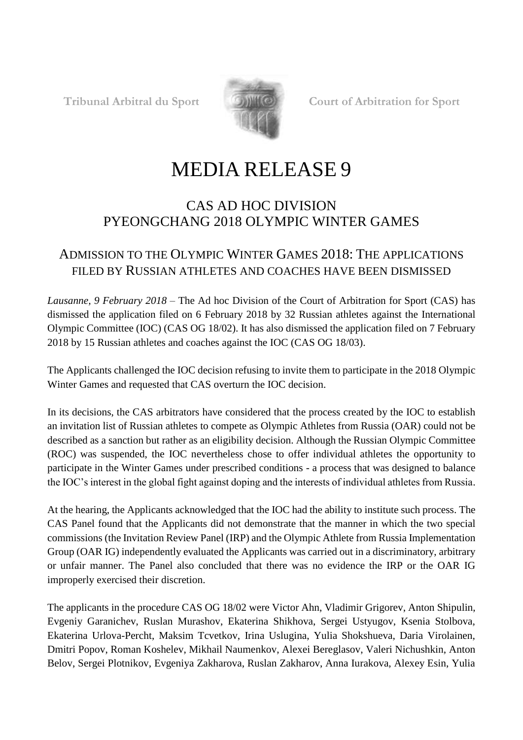

**Tribunal Arbitral du Sport Court of Arbitration for Sport**

## MEDIA RELEASE 9

## CAS AD HOC DIVISION PYEONGCHANG 2018 OLYMPIC WINTER GAMES

## ADMISSION TO THE OLYMPIC WINTER GAMES 2018: THE APPLICATIONS FILED BY RUSSIAN ATHLETES AND COACHES HAVE BEEN DISMISSED

*Lausanne, 9 February 2018 –* The Ad hoc Division of the Court of Arbitration for Sport (CAS) has dismissed the application filed on 6 February 2018 by 32 Russian athletes against the International Olympic Committee (IOC) (CAS OG 18/02). It has also dismissed the application filed on 7 February 2018 by 15 Russian athletes and coaches against the IOC (CAS OG 18/03).

The Applicants challenged the IOC decision refusing to invite them to participate in the 2018 Olympic Winter Games and requested that CAS overturn the IOC decision.

In its decisions, the CAS arbitrators have considered that the process created by the IOC to establish an invitation list of Russian athletes to compete as Olympic Athletes from Russia (OAR) could not be described as a sanction but rather as an eligibility decision. Although the Russian Olympic Committee (ROC) was suspended, the IOC nevertheless chose to offer individual athletes the opportunity to participate in the Winter Games under prescribed conditions - a process that was designed to balance the IOC's interest in the global fight against doping and the interests of individual athletes from Russia.

At the hearing, the Applicants acknowledged that the IOC had the ability to institute such process. The CAS Panel found that the Applicants did not demonstrate that the manner in which the two special commissions (the Invitation Review Panel (IRP) and the Olympic Athlete from Russia Implementation Group (OAR IG) independently evaluated the Applicants was carried out in a discriminatory, arbitrary or unfair manner. The Panel also concluded that there was no evidence the IRP or the OAR IG improperly exercised their discretion.

The applicants in the procedure CAS OG 18/02 were Victor Ahn, Vladimir Grigorev, Anton Shipulin, Evgeniy Garanichev, Ruslan Murashov, Ekaterina Shikhova, Sergei Ustyugov, Ksenia Stolbova, Ekaterina Urlova-Percht, Maksim Tcvetkov, Irina Uslugina, Yulia Shokshueva, Daria Virolainen, Dmitri Popov, Roman Koshelev, Mikhail Naumenkov, Alexei Bereglasov, Valeri Nichushkin, Anton Belov, Sergei Plotnikov, Evgeniya Zakharova, Ruslan Zakharov, Anna Iurakova, Alexey Esin, Yulia